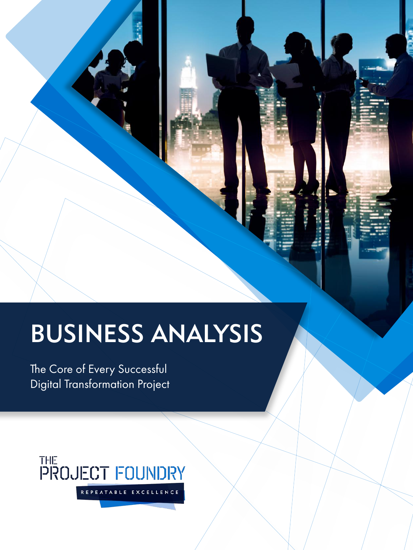# BUSINESS ANALYSIS

The Core of Every Successful Digital Transformation Project

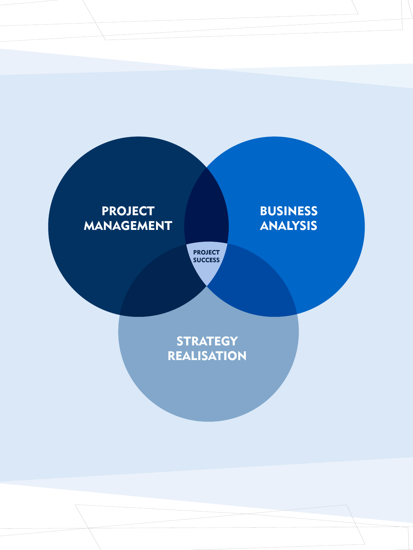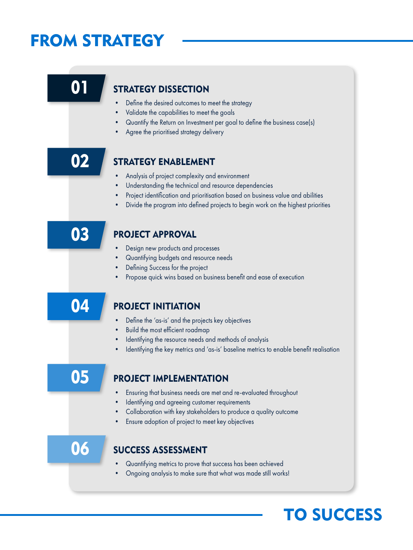## FROM STRATEGY



### TO SUCCESS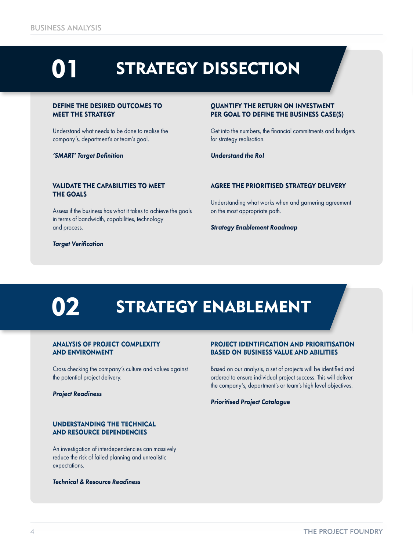### $\mathbf{0}^{\cdot}$ STRATEGY DISSECTION

#### DEFINE THE DESIRED OUTCOMES TO MEET THE STRATEGY

Understand what needs to be done to realise the company's, department's or team's goal.

*'SMART' Target Definition*

#### QUANTIFY THE RETURN ON INVESTMENT PER GOAL TO DEFINE THE BUSINESS CASE(S)

Get into the numbers, the financial commitments and budgets for strategy realisation.

*Understand the RoI*

#### VALIDATE THE CAPABILITIES TO MEET THE GOALS

Assess if the business has what it takes to achieve the goals in terms of bandwidth, capabilities, technology and process.

*Target Verification*

AGREE THE PRIORITISED STRATEGY DELIVERY

Understanding what works when and garnering agreement on the most appropriate path.

*Strategy Enablement Roadmap*

# 02

## STRATEGY ENABLEMENT

#### ANALYSIS OF PROJECT COMPLEXITY AND ENVIRONMENT

Cross checking the company's culture and values against the potential project delivery.

*Project Readiness*

#### UNDERSTANDING THE TECHNICAL AND RESOURCE DEPENDENCIES

An investigation of interdependencies can massively reduce the risk of failed planning and unrealistic expectations.

*Technical & Resource Readiness*

#### PROJECT IDENTIFICATION AND PRIORITISATION BASED ON BUSINESS VALUE AND ABILITIES

Based on our analysis, a set of projects will be identified and ordered to ensure individual project success. This will deliver the company's, department's or team's high level objectives.

*Prioritised Project Catalogue*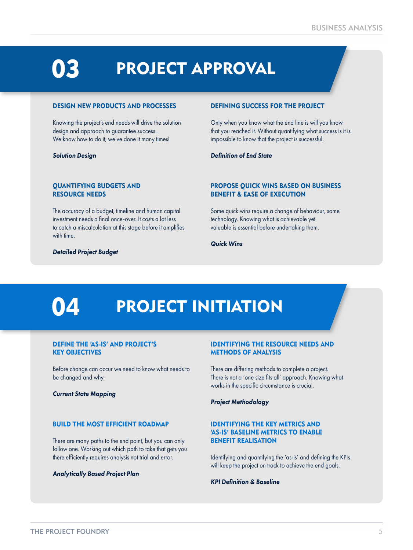### 03 PROJECT APPROVAL

#### DESIGN NEW PRODUCTS AND PROCESSES

Knowing the project's end needs will drive the solution design and approach to guarantee success. We know how to do it, we've done it many times!

*Solution Design*

#### DEFINING SUCCESS FOR THE PROJECT

Only when you know what the end line is will you know that you reached it. Without quantifying what success is it is impossible to know that the project is successful.

#### *Definition of End State*

#### QUANTIFYING BUDGETS AND RESOURCE NEEDS

The accuracy of a budget, timeline and human capital investment needs a final once-over. It costs a lot less to catch a miscalculation at this stage before it amplifies with time.

#### *Detailed Project Budget*

#### PROPOSE QUICK WINS BASED ON BUSINESS BENEFIT & EASE OF EXECUTION

Some quick wins require a change of behaviour, some technology. Knowing what is achievable yet valuable is essential before undertaking them.

#### *Quick Wins*

## 04

## PROJECT INITIATION

#### DEFINE THE 'AS-IS' AND PROJECT'S KEY OBJECTIVES

Before change can occur we need to know what needs to be changed and why.

*Current State Mapping*

#### BUILD THE MOST EFFICIENT ROADMAP

There are many paths to the end point, but you can only follow one. Working out which path to take that gets you there efficiently requires analysis not trial and error.

#### *Analytically Based Project Plan*

#### IDENTIFYING THE RESOURCE NEEDS AND METHODS OF ANALYSIS

There are differing methods to complete a project. There is not a 'one size fits all' approach. Knowing what works in the specific circumstance is crucial.

*Project Methodology*

#### IDENTIFYING THE KEY METRICS AND 'AS-IS' BASELINE METRICS TO ENABLE BENEFIT REALISATION

Identifying and quantifying the 'as-is' and defining the KPIs will keep the project on track to achieve the end goals.

#### *KPI Definition & Baseline*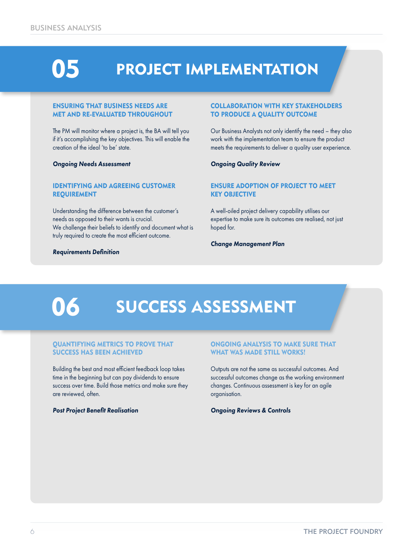05

## PROJECT IMPLEMENTATION

#### ENSURING THAT BUSINESS NEEDS ARE MET AND RE-EVALUATED THROUGHOUT

The PM will monitor where a project is, the BA will tell you if it's accomplishing the key objectives. This will enable the creation of the ideal 'to be' state.

#### *Ongoing Needs Assessment*

#### IDENTIFYING AND AGREEING CUSTOMER REQUIREMENT

Understanding the difference between the customer's needs as opposed to their wants is crucial. We challenge their beliefs to identify and document what is truly required to create the most efficient outcome.

#### *Requirements Definition*

#### COLLABORATION WITH KEY STAKEHOLDERS TO PRODUCE A QUALITY OUTCOME

Our Business Analysts not only identify the need – they also work with the implementation team to ensure the product meets the requirements to deliver a quality user experience.

#### *Ongoing Quality Review*

#### ENSURE ADOPTION OF PROJECT TO MEET KEY OBJECTIVE

A well-oiled project delivery capability utilises our expertise to make sure its outcomes are realised, not just hoped for.

#### *Change Management Plan*

## 06

### SUCCESS ASSESSMENT

#### QUANTIFYING METRICS TO PROVE THAT SUCCESS HAS BEEN ACHIEVED

Building the best and most efficient feedback loop takes time in the beginning but can pay dividends to ensure success over time. Build those metrics and make sure they are reviewed, often.

#### *Post Project Benefit Realisation*

#### ONGOING ANALYSIS TO MAKE SURE THAT WHAT WAS MADE STILL WORKS!

Outputs are not the same as successful outcomes. And successful outcomes change as the working environment changes. Continuous assessment is key for an agile organisation.

#### *Ongoing Reviews & Controls*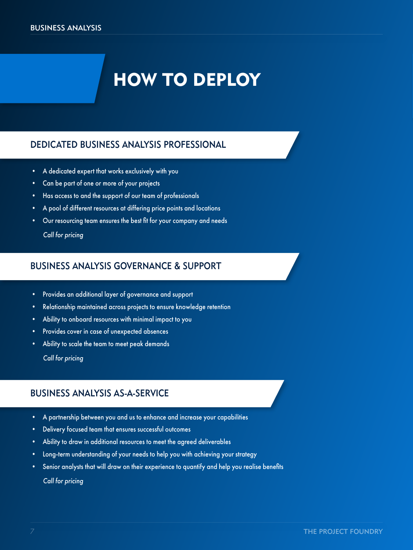## HOW TO DEPLOY

### DEDICATED BUSINESS ANALYSIS PROFESSIONAL

- A dedicated expert that works exclusively with you
- Can be part of one or more of your projects
- Has access to and the support of our team of professionals
- A pool of different resources at differing price points and locations
- Our resourcing team ensures the best fit for your company and needs

 *Call for pricing*

### BUSINESS ANALYSIS GOVERNANCE & SUPPORT

- Provides an additional layer of governance and support
- Relationship maintained across projects to ensure knowledge retention
- Ability to onboard resources with minimal impact to you
- Provides cover in case of unexpected absences
- Ability to scale the team to meet peak demands  *Call for pricing*

### BUSINESS ANALYSIS AS-A-SERVICE

- A partnership between you and us to enhance and increase your capabilities
- Delivery focused team that ensures successful outcomes
- Ability to draw in additional resources to meet the agreed deliverables
- Long-term understanding of your needs to help you with achieving your strategy
- Senior analysts that will draw on their experience to quantify and help you realise benefits

 *Call for pricing*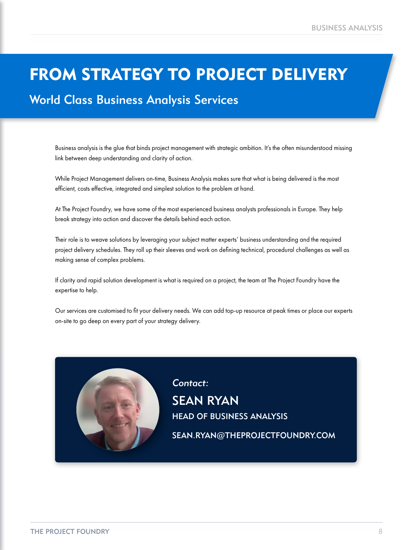### FROM STRATEGY TO PROJECT DELIVERY

### World Class Business Analysis Services

Business analysis is the glue that binds project management with strategic ambition. It's the often misunderstood missing link between deep understanding and clarity of action.

While Project Management delivers on-time, Business Analysis makes sure that what is being delivered is the most efficient, costs effective, integrated and simplest solution to the problem at hand.

At The Project Foundry, we have some of the most experienced business analysts professionals in Europe. They help break strategy into action and discover the details behind each action.

Their role is to weave solutions by leveraging your subject matter experts' business understanding and the required project delivery schedules. They roll up their sleeves and work on defining technical, procedural challenges as well as making sense of complex problems.

If clarity and rapid solution development is what is required on a project, the team at The Project Foundry have the expertise to help.

Our services are customised to fit your delivery needs. We can add top-up resource at peak times or place our experts on-site to go deep on every part of your strategy delivery.



SEAN RYAN HEAD OF BUSINESS ANALYSIS Contact: SEAN.RYAN@THEPROJECTFOUNDRY.COM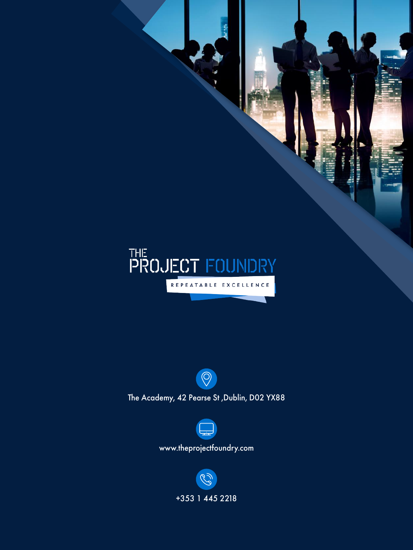



The Academy, 42 Pearse St ,Dublin, D02 YX88



www.theprojectfoundry.com